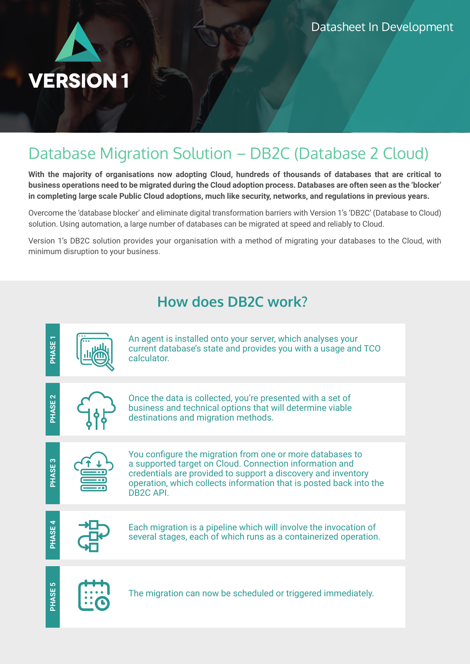

## Database Migration Solution – DB2C (Database 2 Cloud)

**With the majority of organisations now adopting Cloud, hundreds of thousands of databases that are critical to business operations need to be migrated during the Cloud adoption process. Databases are often seen as the 'blocker' in completing large scale Public Cloud adoptions, much like security, networks, and regulations in previous years.**

Overcome the 'database blocker' and eliminate digital transformation barriers with Version 1's 'DB2C' (Database to Cloud) solution. Using automation, a large number of databases can be migrated at speed and reliably to Cloud.

Version 1's DB2C solution provides your organisation with a method of migrating your databases to the Cloud, with minimum disruption to your business.

### **How does DB2C work?**